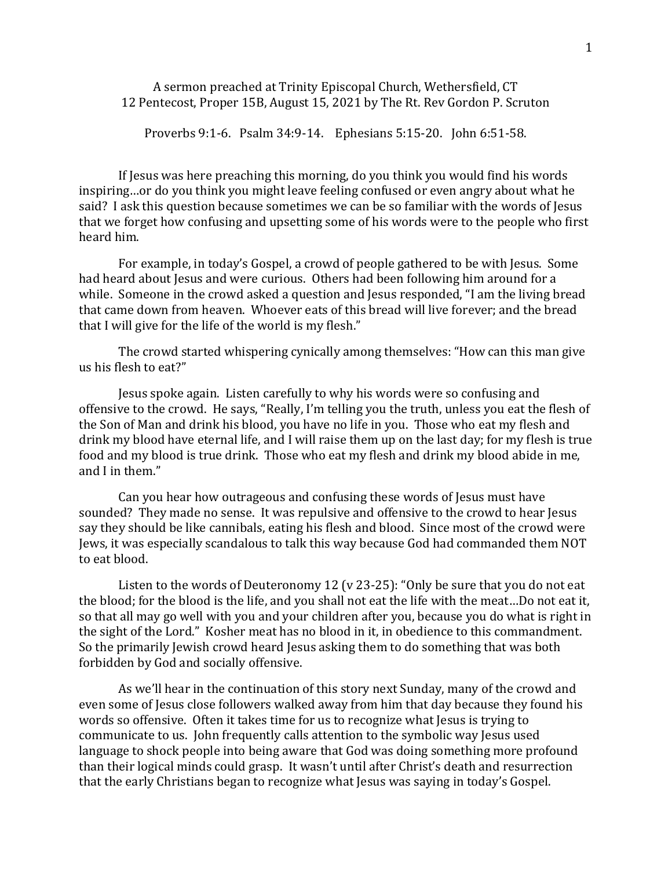## A sermon preached at Trinity Episcopal Church, Wethersfield, CT 12 Pentecost, Proper 15B, August 15, 2021 by The Rt. Rev Gordon P. Scruton

Proverbs 9:1-6. Psalm 34:9-14. Ephesians 5:15-20. John 6:51-58.

If Jesus was here preaching this morning, do you think you would find his words inspiring…or do you think you might leave feeling confused or even angry about what he said? I ask this question because sometimes we can be so familiar with the words of Jesus that we forget how confusing and upsetting some of his words were to the people who first heard him.

For example, in today's Gospel, a crowd of people gathered to be with Jesus. Some had heard about Jesus and were curious. Others had been following him around for a while. Someone in the crowd asked a question and Jesus responded, "I am the living bread that came down from heaven. Whoever eats of this bread will live forever; and the bread that I will give for the life of the world is my flesh."

The crowd started whispering cynically among themselves: "How can this man give us his flesh to eat?"

Jesus spoke again. Listen carefully to why his words were so confusing and offensive to the crowd. He says, "Really, I'm telling you the truth, unless you eat the flesh of the Son of Man and drink his blood, you have no life in you. Those who eat my flesh and drink my blood have eternal life, and I will raise them up on the last day; for my flesh is true food and my blood is true drink. Those who eat my flesh and drink my blood abide in me, and I in them."

Can you hear how outrageous and confusing these words of Jesus must have sounded? They made no sense. It was repulsive and offensive to the crowd to hear Jesus say they should be like cannibals, eating his flesh and blood. Since most of the crowd were Jews, it was especially scandalous to talk this way because God had commanded them NOT to eat blood.

Listen to the words of Deuteronomy 12 (v 23-25): "Only be sure that you do not eat the blood; for the blood is the life, and you shall not eat the life with the meat…Do not eat it, so that all may go well with you and your children after you, because you do what is right in the sight of the Lord." Kosher meat has no blood in it, in obedience to this commandment. So the primarily Jewish crowd heard Jesus asking them to do something that was both forbidden by God and socially offensive.

As we'll hear in the continuation of this story next Sunday, many of the crowd and even some of Jesus close followers walked away from him that day because they found his words so offensive. Often it takes time for us to recognize what Jesus is trying to communicate to us. John frequently calls attention to the symbolic way Jesus used language to shock people into being aware that God was doing something more profound than their logical minds could grasp. It wasn't until after Christ's death and resurrection that the early Christians began to recognize what Jesus was saying in today's Gospel.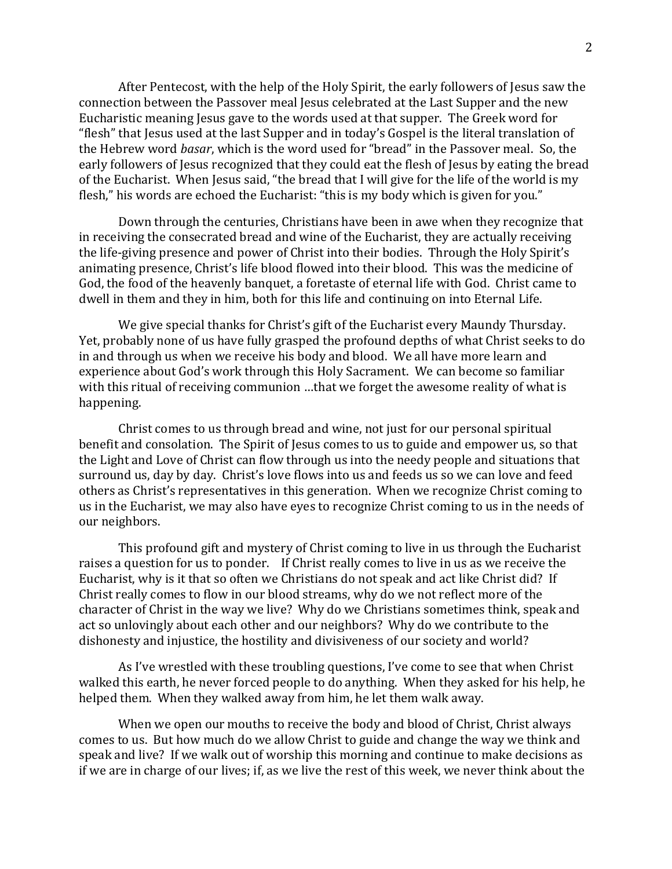After Pentecost, with the help of the Holy Spirit, the early followers of Jesus saw the connection between the Passover meal Jesus celebrated at the Last Supper and the new Eucharistic meaning Jesus gave to the words used at that supper. The Greek word for "flesh" that Jesus used at the last Supper and in today's Gospel is the literal translation of the Hebrew word *basar*, which is the word used for "bread" in the Passover meal. So, the early followers of Jesus recognized that they could eat the flesh of Jesus by eating the bread of the Eucharist. When Jesus said, "the bread that I will give for the life of the world is my flesh," his words are echoed the Eucharist: "this is my body which is given for you."

Down through the centuries, Christians have been in awe when they recognize that in receiving the consecrated bread and wine of the Eucharist, they are actually receiving the life-giving presence and power of Christ into their bodies. Through the Holy Spirit's animating presence, Christ's life blood flowed into their blood. This was the medicine of God, the food of the heavenly banquet, a foretaste of eternal life with God. Christ came to dwell in them and they in him, both for this life and continuing on into Eternal Life.

We give special thanks for Christ's gift of the Eucharist every Maundy Thursday. Yet, probably none of us have fully grasped the profound depths of what Christ seeks to do in and through us when we receive his body and blood. We all have more learn and experience about God's work through this Holy Sacrament. We can become so familiar with this ritual of receiving communion …that we forget the awesome reality of what is happening.

Christ comes to us through bread and wine, not just for our personal spiritual benefit and consolation. The Spirit of Jesus comes to us to guide and empower us, so that the Light and Love of Christ can flow through us into the needy people and situations that surround us, day by day. Christ's love flows into us and feeds us so we can love and feed others as Christ's representatives in this generation. When we recognize Christ coming to us in the Eucharist, we may also have eyes to recognize Christ coming to us in the needs of our neighbors.

This profound gift and mystery of Christ coming to live in us through the Eucharist raises a question for us to ponder. If Christ really comes to live in us as we receive the Eucharist, why is it that so often we Christians do not speak and act like Christ did? If Christ really comes to flow in our blood streams, why do we not reflect more of the character of Christ in the way we live? Why do we Christians sometimes think, speak and act so unlovingly about each other and our neighbors? Why do we contribute to the dishonesty and injustice, the hostility and divisiveness of our society and world?

As I've wrestled with these troubling questions, I've come to see that when Christ walked this earth, he never forced people to do anything. When they asked for his help, he helped them. When they walked away from him, he let them walk away.

When we open our mouths to receive the body and blood of Christ, Christ always comes to us. But how much do we allow Christ to guide and change the way we think and speak and live? If we walk out of worship this morning and continue to make decisions as if we are in charge of our lives; if, as we live the rest of this week, we never think about the